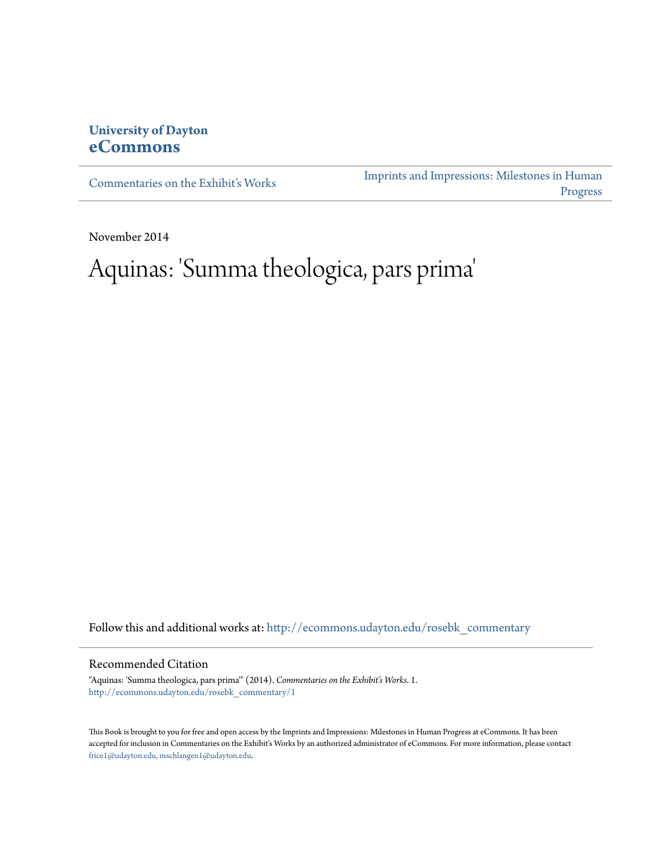## **University of Dayton [eCommons](http://ecommons.udayton.edu?utm_source=ecommons.udayton.edu%2Frosebk_commentary%2F1&utm_medium=PDF&utm_campaign=PDFCoverPages)**

[Commentaries on the Exhibit's Works](http://ecommons.udayton.edu/rosebk_commentary?utm_source=ecommons.udayton.edu%2Frosebk_commentary%2F1&utm_medium=PDF&utm_campaign=PDFCoverPages)

[Imprints and Impressions: Milestones in Human](http://ecommons.udayton.edu/rosebk?utm_source=ecommons.udayton.edu%2Frosebk_commentary%2F1&utm_medium=PDF&utm_campaign=PDFCoverPages) [Progress](http://ecommons.udayton.edu/rosebk?utm_source=ecommons.udayton.edu%2Frosebk_commentary%2F1&utm_medium=PDF&utm_campaign=PDFCoverPages)

November 2014

## Aquinas: 'Summa theologica, pars prima '

Follow this and additional works at: [http://ecommons.udayton.edu/rosebk\\_commentary](http://ecommons.udayton.edu/rosebk_commentary?utm_source=ecommons.udayton.edu%2Frosebk_commentary%2F1&utm_medium=PDF&utm_campaign=PDFCoverPages)

## Recommended Citation

"Aquinas: 'Summa theologica, pars prima'" (2014). *Commentaries on the Exhibit's Works*. 1. [http://ecommons.udayton.edu/rosebk\\_commentary/1](http://ecommons.udayton.edu/rosebk_commentary/1?utm_source=ecommons.udayton.edu%2Frosebk_commentary%2F1&utm_medium=PDF&utm_campaign=PDFCoverPages)

This Book is brought to you for free and open access by the Imprints and Impressions: Milestones in Human Progress at eCommons. It has been accepted for inclusion in Commentaries on the Exhibit's Works by an authorized administrator of eCommons. For more information, please contact [frice1@udayton.edu, mschlangen1@udayton.edu.](mailto:frice1@udayton.edu,%20mschlangen1@udayton.edu)